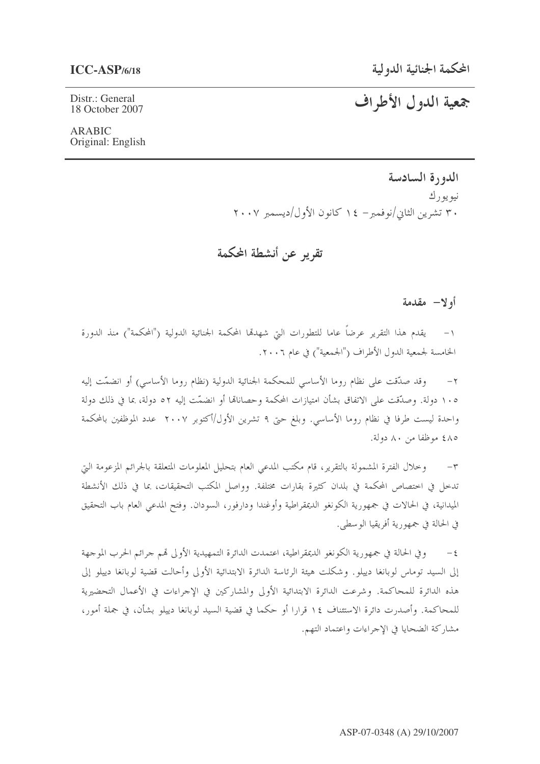# جمعية الدول الأطراف

Distr.: General 18 October 2007

**ARABIC** Original: English

> الدورة السادسة نيو يو ر ك ٣٠ تشرين الثاني/نوفمبر – ١٤ كانون الأول/ديسمبر ٢٠٠٧

تقريب عن أنشطة المحكمة

### أولا— مقدمة

١– يقدم هذا التقرير عرضاً عاما للتطورات البيّ شهدهّا المحكمة الجنائية الدولية ("المحكمة") منذ الدورة الخامسة لجمعية الدول الأطراف ("الجمعية") في عام ٢٠٠٦.

وقد صدَّقت على نظام روما الأساسي للمحكمة الجنائية الدولية (نظام روما الأساسي) أو انضمَّت إليه  $-7$ ١٠٥ دولة. وصدَّقت على الاتفاق بشأن امتيازات المحكمة وحصاناها أو انضمَّت إليه ٥٢ دولة، بما في ذلك دولة واحدة ليست طرفا في نظام روما الأساسي. وبلغ حتى ٩ تشرين الأول/أكتوبر ٢٠٠٧ عدد الموظفين بالمحكمة ٨٥٤ موظفا من ٨٠ دولة.

٣– وخلال الفترة المشمولة بالتقرير، قام مكتب المدعى العام بتحليل المعلومات المتعلقة بالجرائم المزعومة التي تدخل في اختصاص المحكمة في بلدان كثيرة بقارات مختلفة. وواصل المكتب التحقيقات، بما في ذلك الأنشطة الميدانية، في الحالات في جمهورية الكونغو الديمقراطية وأوغندا ودارفور، السودان. وفتح المدعى العام باب التحقيق في الحالة في جمهورية أفريقيا الوسطى.

٤ – وفي الحالة في جمهورية الكونغو الديمقراطية، اعتمدت الدائرة التمهيدية الأولى قمم جرائم الحرب الموجهة إلى السيد توماس لوبانغا دييلو. وشكلت هيئة الرئاسة الدائرة الابتدائية الأولى وأحالت قضية لوبانغا دييلو إلى هذه الدائرة للمحاكمة. وشرعت الدائرة الابتدائية الأولى والمشاركين في الإجراءات في الأعمال التحضيرية للمحاكمة. وأصدرت دائرة الاستئناف ١٤ قرارا أو حكما في قضية السيد لوبانغا دييلو بشأن، في جملة أمور، مشاركة الضحايا في الإحراءات واعتماد التهم.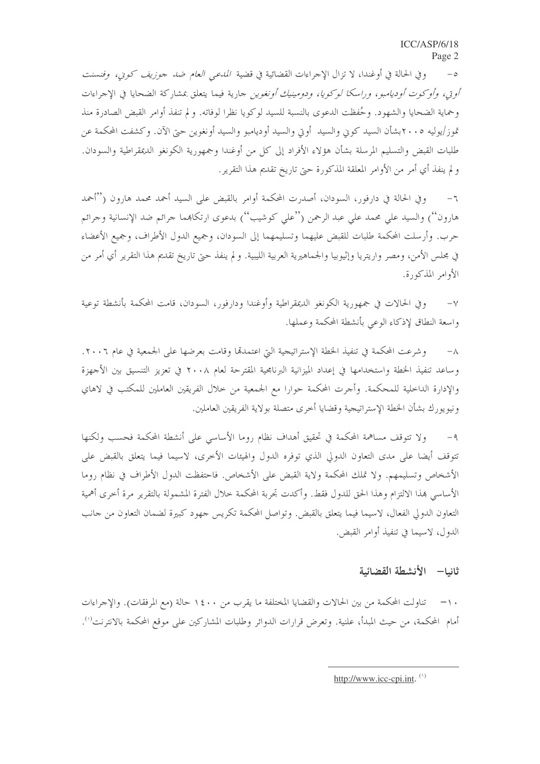وفي الحالة في أوغندا، لا تزال الإجراءات القضائية في قضية *المدع<sub>ن</sub> العام ضد جوزيف كوني، وفنسنت*  $-\circ$ *أوتى، وأوكوت أوديامبو، وراسكا لوكويا، ودومينيك أونغوين* حارية فيما يتعلق بمشاركة الضحايا في الإحراءات وحماية الضحايا والشهود. وحُفظت الدعوى بالنسبة للسيد لوكويا نظرا لوفاته. و لم تنفذ أوامر القبض الصادرة منذ تموز/يوليه ٢٠٠٥بشأن السيد كوين والسيد أويي والسيد أوديامبو والسيد أونغوين حتى الآن. وكشفت المحكمة عن طلبات القبض والتسليم المرسلة بشأن هؤلاء الأفراد إلى كل من أوغندا وجمهورية الكونغو الديمقراطية والسودان. و لم ينفذ أي أمر من الأوامر المعلقة المذكورة حتى تاريخ تقديم هذا التقرير.

وفي الحالة في دارفور، السودان، أصدرت المحكمة أوامر بالقبض على السيد أحمد محمد هارون (''أحمد  $-7$ هارون'') والسيد على محمد على عبد الرحمن (''على كوشيب'') بدعوى ارتكاهما جرائم ضد الإنسانية وجرائم حرب. وأرسلت المحكمة طلبات للقبض عليهما وتسليمهما إلى السودان، وجميع الدول الأطراف، وجميع الأعضاء في مجلس الأمن، ومصر واريتريا وإثيوبيا والجماهيرية العربية الليبية. و لم ينفذ حتى تاريخ تقديم هذا التقرير أي أمر من الأوامر المذكورة.

وفي الحالات في جمهورية الكونغو الديمقراطية وأوغندا ودارفور، السودان، قامت المحكمة بأنشطة توعية  $-\vee$ واسعة النطاق لإذكاء الوعى بأنشطة المحكمة وعملها.

وشرعت المحكمة في تنفيذ الخطة الإستراتيجية التي اعتمدقما وقامت بعرضها على الجمعية في عام ٢٠٠٦.  $-\lambda$ وساعد تنفيذ الخطة واستخدامها في إعداد الميزانية البرنامجية المقترحة لعام ٢٠٠٨ في تعزيز التنسيق بين الأجهزة والإدارة الداخلية للمحكمة. وأجرت المحكمة حوارا مع الجمعية من خلال الفريقين العاملين للمكتب في لاهاي ونيويورك بشأن الخطة الإستراتيجية وقضايا أحرى متصلة بولاية الفريقين العاملين.

ولا تتوقف مساهمة المحكمة في تحقيق أهداف نظام روما الأساسي على أنشطة المحكمة فحسب ولكنها  $-9$ تتوقف أيضا على مدى التعاون الدولي الذي توفره الدول والهيئات الأخرى، لاسيما فيما يتعلق بالقبض على الأشخاص وتسليمهم. ولا تملك المحكمة ولاية القبض على الأشخاص. فاحتفظت الدول الأطراف في نظام روما الأساسي بمذا الالتزام وهذا الحق للدول فقط. وأكدت تجربة المحكمة حلال الفترة المشمولة بالتقرير مرة أحرى أهمية التعاون الدولي الفعال، لاسيما فيما يتعلق بالقبض. وتواصل المحكمة تكريس جهود كبيرة لضمان التعاون من جانب الدول، لاسيما في تنفيذ أوامر القبض.

#### ثانيا— الأنشطة القضائية

تناولت المحكمة من بين الحالات والقضايا المختلفة ما يقرب من ١٤٠٠ حالة (مع المرفقات). والإجراءات  $-1$ . أمام المحكمة، من حيث المبدأ، علنية. وتعرض قرارات الدوائر وطلبات المشاركين على موقع المحكمة بالانترنت<sup>(١</sup>).

http://www.icc-cpi.int. (1)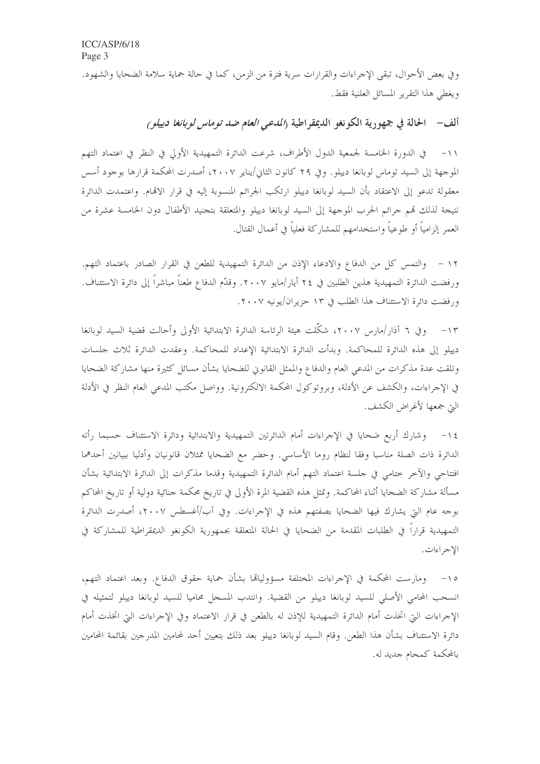وفي بعض الأحوال، تبقى الإجراءات والقرارات سرية فترة من الزمن، كما في حالة حماية سلامة الضحايا والشهود. ويغطى هذا التقرير المسائل العلنية فقط.

ألف – الحالة في جمهورية الكونغو الديمقراطية (*المدعى العام ضد توماس لوبانغا دييلو )* 

١١– في الدورة الخامسة لجمعية الدول الأطراف، شرعت الدائرة التمهيدية الأولى في النظر في اعتماد التهم الموجهة إلى السيد توماس لوبانغا دييلو. وفي ٢٩ كانون الثاني/يناير ٢٠٠٧، أصدرت المحكمة قرارها بوجود أسس معقولة تدعو إلى الاعتقاد بأن السيد لوبانغا دييلو ارتكب الجرائم المنسوبة إليه في قرار الاقمام. واعتمدت الدائرة نتيجة لذلك قمم جرائم الحرب الموجهة إلى السيد لوبانغا دييلو والمتعلقة بتجنيد الأطفال دون الخامسة عشرة من العمر إلزامياً أو طوعياً واستخدامهم للمشاركة فعلياً في أعمال القتال.

١٢ – والتمس كل من الدفاع والادعاء الإذن من الدائرة التمهيدية للطعن في القرار الصادر باعتماد التهم. ورفضت الدائرة التمهيدية هذين الطلبين في ٢٤ أيار/مايو ٢٠٠٧. وقدَّم الدفاع طعناً مباشراً إلى دائرة الاستئناف. ورفضت دائرة الاستئناف هذا الطلب في ١٣ حزيران/يونيه ٢٠٠٧.

١٣– وفي ٦ آذار/مارس ٢٠٠٧، شكَّلت هيئة الرئاسة الدائرة الابتدائية الأولى وأحالت قضية السيد لوبانغا دييلو إلى هذه الدائرة للمحاكمة. وبدأت الدائرة الابتدائية الإعداد للمحاكمة. وعقدت الدائرة ثلاث حلسات وتلقت عدة مذكرات من المدعى العام والدفاع والممثل القانوني للضحايا بشأن مسائل كثيرة منها مشاركة الضحايا في الإحراءات، والكشف عن الأدلة، وبروتوكول المحكمة الالكترونية. وواصل مكتب المدعى العام النظر في الأدلة التي جمعها لأغراض الكشف.

١٤ – وشارك أربع ضحايا في الإجراءات أمام الدائرتين التمهيدية والابتدائية ودائرة الاستئناف حسبما رأته الدائرة ذات الصلة مناسبا وفقا لنظام روما الأساسي. وحضر مع الضحايا ممثلان قانونيان وأدليا ببيانين أحدهما افتتاحي والآخر ختامي في حلسة اعتماد التهم أمام الدائرة التمهيدية وقدما مذكرات إلى الدائرة الابتدائية بشأن مسألة مشاركة الضحايا أثناء المحاكمة. وتمثل هذه القضية المرة الأولى في تاريخ محكمة جنائية دولية أو تاريخ المحاكم بوجه عام التي يشارك فيها الضحايا بصفتهم هذه في الإجراءات. وفي آب/أغسطس ٢٠٠٧، أصدرت الدائرة التمهيدية قراراً في الطلبات المقدمة من الضحايا في الحالة المتعلقة بجمهورية الكونغو الديمقراطية للمشاركة في الإجراءات.

١٥– ومارست المحكمة في الإجراءات المختلفة مسؤوليالها بشأن حماية حقوق الدفاع. وبعد اعتماد التهم، انسحب المحامي الأصلي للسيد لوبانغا دييلو من القضية. وانتدب المسجل محاميا للسيد لوبانغا دييلو لتمثيله في الإجراءات التي اتخذت أمام الدائرة التمهيدية للإذن له بالطعن في قرار الاعتماد وفي الإجراءات التي اتخذت أمام دائرة الاستئناف بشأن هذا الطعن. وقام السيد لوبانغا دييلو بعد ذلك بتعيين أحد لمحامين المدرجين بقائمة المحامين بالمحكمة كمحام جديد له.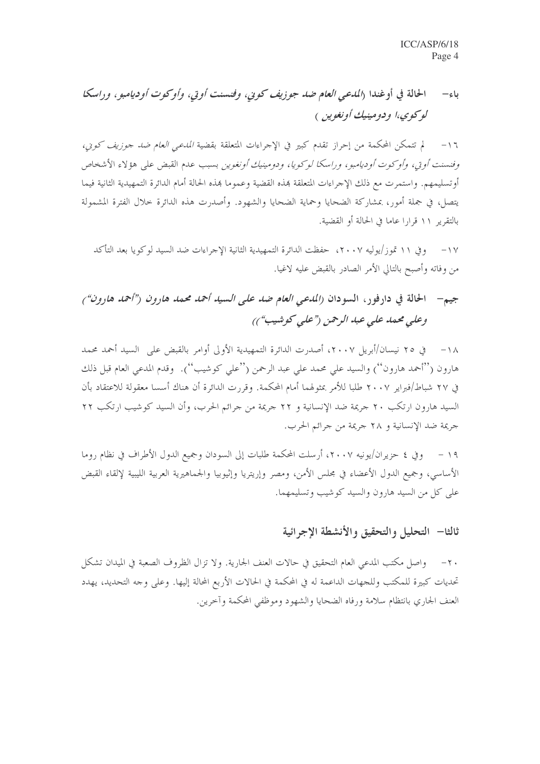#### الحالة في أوغندا (المدعى العام صد جوزيف كويي، وفيسنت أو تي، وأو كوت أو ديامبو ، و راسكا  $-$ باء لو کوي،ا و دومينيك أونغوين )

لم تتمكن المحكمة من إحراز تقدم كبير في الإحراءات المتعلقة بقضية *المدعى العام ضد جوزيف كوني،*  $-17$ وفنسنت أو تي، وأو كوت أو ديامبو ، و راسكا لو كو پا، و دومينيك أو نغوين بسبب عدم القبض على هؤ لاء الأشخاص أوتسليمهم. واستمرت مع ذلك الإجراءات المتعلقة بمذه القضية وعموما بمذه الحالة أمام الدائرة التمهيدية الثانية فيما يتصل، في جملة أمور، بمشاركة الضحايا وحماية الضحايا والشهود. وأصدرت هذه الدائرة حلال الفترة المشمولة بالتقرير ١١ قرارا عاما في الحالة أو القضية.

وفي ١١ تموز/يوليه ٢٠٠٧، حفظت الدائرة التمهيدية الثانية الإجراءات ضد السيد لوكويا بعد التأكد  $-1V$ من وفاته وأصبح بالتالي الأمر الصادر بالقبض عليه لاغيا.

### الحالة في دارفور، السودان (المدعى العام ضد على السيد أحمد محمد هارون ("أحمد هارون") جيہ -وعلى محمد على عبد الرحمن ("على كوشيب"))

١٨ – ي ٢٥ نيسان/أبريل ٢٠٠٧، أصدرت الدائرة التمهيدية الأولى أوامر بالقبض على السيد أحمد محمد هارون (''أحمد هارون'') والسيد على محمد على عبد الرحمن (''على كوشيب''). وقدم المدعى العام قبل ذلك في ٢٧ شباط/فيراير ٢٠٠٧ طلبا للأمر بمثولهما أمام المحكمة. وقررت الدائرة أن هناك أسسا معقولة للاعتقاد بأن السيد هارون ارتكب ٢٠ جريمة ضد الإنسانية و ٢٢ جريمة من جرائم الحرب، وأن السيد كوشيب ارتكب ٢٢ حريمة ضد الإنسانية و ٢٨ حريمة من حرائم الحرب.

وفي ٤ حزيران/يونيه ٢٠٠٧، أرسلت المحكمة طلبات إلى السودان وجميع الدول الأطراف في نظام روما  $-19$ الأساسي، وجميع الدول الأعضاء في مجلس الأمن، ومصر وإريتريا وإثيوبيا والجماهيرية العربية الليبية لإلقاء القبض علي كل من السيد هارون والسيد كوشيب وتسليمهما.

## ثالثا— التحليل والتحقيق والأنشطة الإجرائية

واصل مكتب المدعى العام التحقيق في حالات العنف الجارية. ولا تزال الظروف الصعبة في الميدان تشكل  $-\tau$ . تحديات كبيرة للمكتب وللجهات الداعمة له في المحكمة في الحالات الأربع المحالة إليها. وعلى وجه التحديد، يهدد العنف الجاري بانتظام سلامة ورفاه الضحايا والشهود وموظفي المحكمة وآخرين.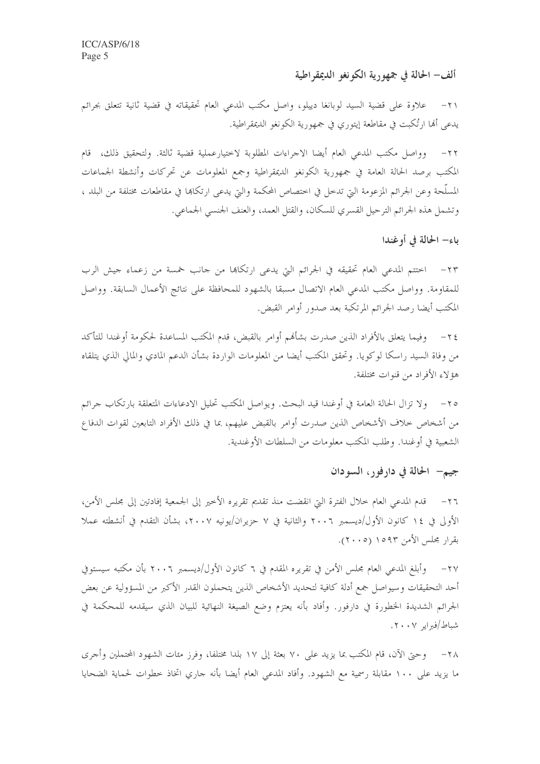#### ألف– الحالة في جمهورية الكونغو الديمقراطية

علاوة على قضية السيد لوبانغا دييلو، وإصل مكتب المدعى العام تحقيقاته في قضية ثانية تتعلق بجرائم  $-\tau$ يدعي أُلها ارتُكبت في مقاطعة إيتوري في جمهورية الكونغو الديمقراطية.

وواصل مكتب المدعى العام أيضا الاجراءات المطلوبة لاختيارعملية قضية ثالثة. ولتحقيق ذلك، قام  $-\tau$ المكتب برصد الحالة العامة في جمهورية الكونغو الديمقراطية وجمع المعلومات عن تحركات وأنشطة الجماعات المسلَّحة وعن الجرائم المزعومة التي تدخل في اختصاص المحكمة والتي يدعى ارتكاها في مقاطعات مختلفة من البلد ، وتشمل هذه الجرائم الترحيل القسري للسكان، والقتل العمد، والعنف الجنسي الجماعي.

باء– الحالة في أوغندا

٢٣– اختتم المدعى العام تحقيقه في الجرائم التي يدعى ارتكاها من حانب خمسة من زعماء حيش الرب للمقاومة. وواصل مكتب المدعى العام الاتصال مسبقا بالشهود للمحافظة على نتائج الأعمال السابقة. وواصل المكتب أيضا رصد الجرائم المرتكبة بعد صدور أوامر القبض.

٢٤ – وفيما يتعلق بالأفراد الذين صدرت بشأفمم أوامر بالقبض، قدم المكتب المساعدة لحكومة أوغندا للتأكد من وفاة السيد راسكا لوكويا. وتحقق المكتب أيضا من المعلومات الواردة بشأن الدعم المادي والمالي الذي يتلقاه هؤ لاءِ الأفراد من قنوات مختلفة.

٢٥– ولا تزال الحالة العامة في أوغندا قيد البحث. ويواصل المكتب تحليل الادعاءات المتعلقة بارتكاب جرائم من أشخاص خلاف الأشخاص الذين صدرت أوامر بالقبض عليهم، بما في ذلك الأفراد التابعين لقوات الدفاع الشعبية في أوغندا. وطلب المكتب معلومات من السلطات الأوغندية.

### جيم— الحالة في دارفور، السودان

قدم المدعى العام حلال الفترة التي انقضت منذ تقديم تقريره الأخير إلى الجمعية إفادتين إلى مجلس الأمن،  $-\tau$ الأولى في ١٤ كانون الأول/ديسمبر ٢٠٠٦ والثانية في ٧ حزيران/يونيه ٢٠٠٧، بشأن التقدم في أنشطته عملا بقرار مجلس الأمن ١٥٩٣ (٢٠٠٥).

٢٧– وأبلغ المدعى العام مجلس الأمن في تقريره المقدم في ٦ كانون الأول/ديسمبر ٢٠٠٦ بأن مكتبه سيستوفي أحد التحقيقات وسيواصل جمع أدلة كافية لتحديد الأشخاص الذين يتحملون القدر الأكبر من المسؤولية عن بعض الجرائم الشديدة الخطورة في دارفور. وأفاد بأنه يعتزم وضع الصيغة النهائية للبيان الذي سيقدمه للمحكمة في شباط/فبراير ٢٠٠٧.

٢٨ – وحيَّ الآن، قام المكتب بما يزيد علي ٧٠ بعثة إلى ١٧ بلدا مختلفا، وفرز مئات الشهود المحتملين وأجرى ما يزيد على ١٠٠ مقابلة رسمية مع الشهود. وأفاد المدعى العام أيضا بأنه جاري اتخاذ خطوات لحماية الضحايا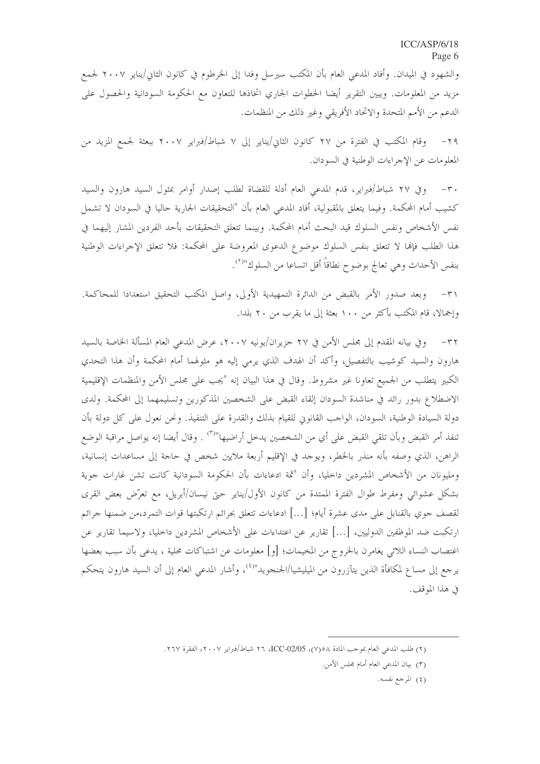والشهود في الميدان. وأفاد المدعى العام بأن المكتب سيرسل وفدا إلى الخرطوم في كانون الثاني/يناير ٢٠٠٧ لجمع مزيد من المعلومات. ويبين التقرير أيضا الخطوات الجاري اتخاذها للتعاون مع الحكومة السودانية والحصول على الدعم من الأمم المتحدة والاتحاد الأفريقي وغير ذلك من المنظمات.

٢٩– وقام المكتب في الفترة من ٢٧ كانون الثاني/يناير إلى ٧ شباط/فبراير ٢٠٠٧ ببعثة لجمع المزيد من المعلومات عن الإجراءات الوطنية في السودان.

٣٠- وفي ٢٧ شباط/فبراير، قدم المدعى العام أدلة للقضاة لطلب إصدار أوامر بمثول السيد هارون والسيد كشيب أمام المحكمة. وفيما يتعلق بالمقبولية، أفاد المدعى العام بأن "التحقيقات الجارية حاليا في السودان لا تشمل نفس الأشخاص ونفس السلوك قيد البحث أمام المحكمة. وبينما تتعلق التحقيقات بأحد الفردين المشار إليهما في هذا الطلب فإلها لا تتعلق بنفس السلوك موضوع الدعوى المعروضة على المحكمة: فلا تتعلق الإحراءات الوطنية بنفس الأحداث وهي تعالج بوضوح نطاقاً أقل اتساعا من السلوك"<sup>(٢)</sup>.

وبعد صدور الأمر بالقبض من الدائرة التمهيدية الأولى، واصل المكتب التحقيق استعدادا للمحاكمة.  $-\tau$ وإجمالا، قام المكتب بأكثر من ١٠٠ بعثة إلى ما يقرب من ٢٠ بلدا.

وفي بيانه المقدم إلى مجلس الأمن في ٢٧ حزيران/يونيه ٢٠٠٧، عرض المدعى العام المسألة الخاصة بالسيد  $-\tau \tau$ هارون والسيد كوشيب بالتفصيل، وأكد أن الهدف الذي يرمى إليه هو مثولهما أمام المحكمة وأن هذا التحدي الكبير يتطلب من الجميع تعاونا غير مشروط. وقال في هذا البيان إنه "يجب على مجلس الأمن والمنظمات الإقليمية الاضطلاع بدور رائد في مناشدة السودان إلقاء القبض على الشخصين المذكورين وتسليمهما إلى المحكمة. ولدى دولة السيادة الوطنية، السودان، الواحب القانوين للقيام بذلك والقدرة على التنفيذ. ونحن نعول على كل دولة بأن تنفذ أمر القبض وبأن تلقى القبض على أي من الشخصين يدخل أراضيها"<sup>(٣)</sup> . وقال أيضا إنه يواصل مراقبة الوضع الراهن، الذي وصفه بأنه منذر بالخطر، ويوحد في الإقليم أربعة ملايين شخص في حاجة إلى مساعدات إنسانية، ومليونان من الأشخاص المشردين داخليا، وأن "ثمة ادعاءات بأن الحكومة السودانية كانت تشن غارات جوية بشكل عشوائي ومفرط طوال الفترة الممتدة من كانون الأول/يناير حتى نيسان/أبريل، مع تعرَّض بعض القرى لقصف جوي بالقنابل على مدى عشرة أيام؛ […] ادعاءات تتعلق بجرائم ارتكبتها قوات التمرد،من ضمنها جرائم ارتكبت ضد الموظفين الدوليين، […] تقارير عن اعتداءات على الأشخاص المشردين داخليا، ولاسيما تقارير عن اغتصاب النساء اللائم ٍ يغامرٍ ن بالخروج من المخيمات؛ [و] معلومات عن اشتباكات محلية ، يدعى بأن سبب بعضها يرجع إلى مساع لمكافأة الذين يتآزرون من الميليشيا/الجنجويد"<sup>(٤)</sup>، وأشار المدعى العام إلى أن السيد هارون يتحكم في هذا الموقف.

(٤) المرجع نفسه.

<sup>(</sup>٢) طلب المدعى العام بموجب المادة ٥/ ٥(٧)، ICC-02/05، ٢٦ شباط/فبراير ٢٠٠٧، الفقرة ٢٦٧.

<sup>(</sup>٣) بيان المدعى العام أمام مجلس الأمن.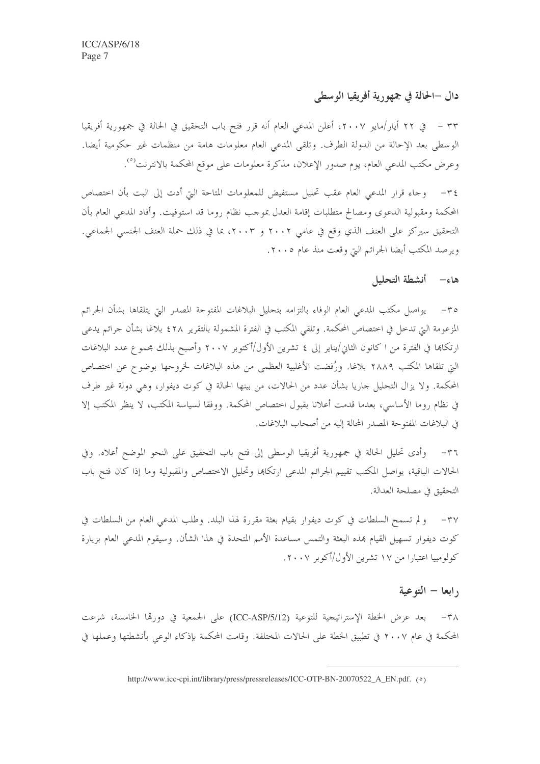### دال –الحالة في جمهو رية أفريقيا الوسطى

٣٣ – في ٢٢ أيار/مايو ٢٠٠٧، أعلن المدعي العام أنه قرر فتح باب التحقيق في الحالة في جمهورية أفريقيا الوسطى بعد الإحالة من الدولة الطرف. وتلقى المدعى العام معلومات هامة من منظمات غير حكومية أيضا. وعرض مكتب المدعى العام، يوم صدور الإعلان، مذكرة معلومات على موقع المحكمة بالانترنت<sup>(٥</sup>).

وجاء قرار المدعى العام عقب تحليل مستفيض للمعلومات المتاحة التي أدت إلى البت بأن اختصاص  $-\tau$  { المحكمة ومقبولية الدعوى ومصالح متطلبات إقامة العدل بموجب نظام روما قد استوفيت. وأفاد المدعى العام بأن التحقيق سيركز على العنف الذي وقع في عامي ٢٠٠٢ و ٢٠٠٣، بما في ذلك حملة العنف الجنسبي الجماعي. ويرصد المكتب أبضا الجرائم التي وقعت منذ عام ٢٠٠٥.

#### هاء– أنشطة التحليل

٣٥– يواصل مكتب المدعى العام الوفاء بالتزامه بتحليل البلاغات المفتوحة المصدر التي يتلقاها بشأن الجرائم المزعومة التي تدخل في اختصاص المحكمة. وتلقى المكتب في الفترة المشمولة بالتقرير ٤٢٨ بلاغا بشأن جرائم يدعي ارتكاها في الفترة من ا كانون الثاني/يناير إلى ٤ تشرين الأول/أكتوبر ٢٠٠٧ وأصبح بذلك مجموع عدد البلاغات التي تلقاها المكتب ٢٨٨٩ بلاغا. ورُفضت الأغلبية العظمى من هذه البلاغات لخروجها بوضوح عن اختصاص المحكمة. ولا يزال التحليل جاريا بشأن عدد من الحالات، من بينها الحالة في كوت ديفوار، وهي دولة غير طرف في نظام روما الأساسي، بعدما قدمت أعلانا بقبول اختصاص المحكمة. ووفقا لسياسة المكتب، لا ينظر المكتب إلا في البلاغات المفتوحة المصدر المحالة إليه من أصحاب البلاغات.

وأدى تحليل الحالة في جمهورية أفريقيا الوسطى إلى فتح باب التحقيق على النحو الموضح أعلاه. وفي  $-\tau$ الحالات الباقية، يواصل المكتب تقييم الجرائم المدعى ارتكاها وتحليل الاختصاص والمقبولية وما إذا كان فتح باب التحقيق في مصلحة العدالة.

٣٧– ولم تسمح السلطات في كوت ديفوار بقيام بعثة مقررة لهذا البلد. وطلب المدعى العام من السلطات في كوت ديفوار تسهيل القيام بمذه البعثة والتمس مساعدة الأمم المتحدة في هذا الشأن. وسيقوم المدعى العام بزيارة کولومبیا اعتبارا من ۱۷ تشرین الأول/أکوبر ۲۰۰۷.

#### <sub>(</sub> ابعا – التوعية

٣٨- بعد عرض الخطة الإستراتيجية للتوعية (ICC-ASP/5/12) على الجمعية في دورقما الخامسة، شرعت المحكمة في عام ٢٠٠٧ في تطبيق الخطة على الحالات المختلفة. وقامت المحكمة بإذكاء الوعي بأنشطتها وعملها في

http://www.icc-cpi.int/library/press/pressreleases/ICC-OTP-BN-20070522\_A\_EN.pdf. (0)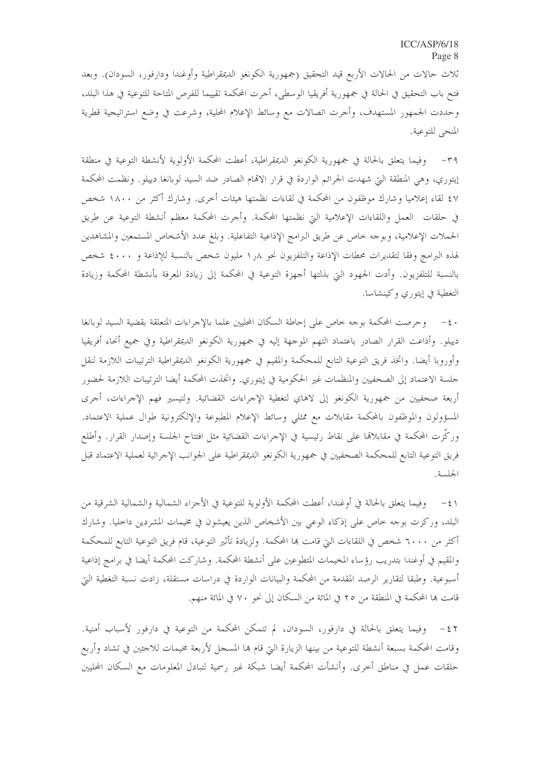ثلاث حالات من الحالات الأربع قيد التحقيق (جمهورية الكونغو الديمقراطية وأوغندا ودارفور، السودان). وبعد فتح باب التحقيق في الحالة في جمهورية أفريقيا الوسطى، أجرت المحكمة تقييما للفرص المتاحة للتوعية في هذا البلد، وحددت الجمهور المستهدف، وأحرت اتصالات مع وسائط الإعلام المحلية، وشرعت في وضع استراتيجية قطرية المنحى للتوعية.

٣٩– وفيما يتعلق بالحالة في جمهورية الكونغو الديمقراطية، أعطت المحكمة الأولوية لأنشطة التوعية في منطقة إيتوري، وهي المنطقة التي شهدت الجرائم الواردة في قرار الاقمام الصادر ضد السيد لوبانغا دييلو. ونظمت المحكمة ٤٧ لقاء إعلاميا وشارك موظفون من المحكمة في لقاءات نظمتها هيئات أخرى. وشارك أكثر من ١٨٠٠ شخص في حلقات العمل واللقاءات الإعلامية التي نظمتها المحكمة. وأحرت المحكمة معظم أنشطة التوعية عن طريق الحملات الإعلامية، وبوجه خاص عن طريق البرامج الإذاعية التفاعلية. وبلغ عدد الأشخاص المستمعين والمشاهدين لهذه البرامج وفقا لتقديرات محطات الإذاعة والتلفزيون نحو ١٫٨ مليون شخص بالنسبة للإذاعة و ٤٠٠٠ شخص بالنسبة للتلفزيون. وأدت الجمهود التي بذلتها أحهزة التوعية في المحكمة إلى زيادة المعرفة بأنشطة المحكمة وزيادة التغطية في إيتوري وكينشاسا.

٤٠ – وحرصت المحكمة بوجه خاص على إحاطة السكان المحليين علما بالإجراءات المتعلقة بقضية السيد لوبانغا دييلو. وأذاعت القرار الصادر باعتماد التهم الموجهة إليه في جمهورية الكونغو الديمقراطية وفي جميع أنحاء أفريقيا وأوروبا أيضا. واتخذ فريق التوعية التابع للمحكمة والمقيم في جمهورية الكونغو الديمقراطية الترتيبات اللازمة لنقل حلسة الاعتماد إلى الصحفيين والمنظمات غير الحكومية في إيتوري. واتخذت المحكمة أيضا الترتيبات اللازمة لحضور أربعة صحفيين من جمهورية الكونغو إلى لاهاي لتغطية الإحراءات القضائية. ولتيسير فهم الإحراءات، أحرى المسؤولون والموظفون بالمحكمة مقابلات مع ممثلي وسائط الإعلام المطبوعة والإلكترونية طوال عملية الاعتماد. وركّزت المحكمة في مقابلاڤما على نقاط رئيسية في الإحراءات القضائية مثل افتتاح الجلسة وإصدار القرار. وأطلع فريق التوعية التابع للمحكمة الصحفيين في جمهورية الكونغو الديمقراطية على الجوانب الإجرائية لعملية الاعتماد قبل الجلسة.

٤١ – وفيما يتعلق بالحالة في أوغندا، أعطت المحكمة الأولوية للتوعية في الأجزاء الشمالية والشمالية الشرقية من البلد، وركزت بوجه خاص على إذكاء الوعي بين الأشخاص الذين يعيشون في مخيمات المشردين داخليا. وشارك أكثر من ٦٠٠٠ شخص في اللقاءات التيّ قامت ها المحكمة. ولزيادة تأثير التوعية، قام فريق التوعية التابع للمحكمة والمقيم في أوغندا بتدريب رؤساء المخيمات المتطوعين على أنشطة المحكمة. وشاركت المحكمة أيضا في برامج إذاعية أسبوعية. وطبقا لتقارير الرصد المقدمة من المحكمة والبيانات الواردة في دراسات مستقلة، زادت نسبة التغطية التي قامت بما المحكمة في المنطقة من ٢٥ في المائة من السكان إلى نحو ٧٠ في المائة منهم.

٤٢ - وفيما يتعلق بالحالة في دارفور، السودان، لم تتمكن المحكمة من التوعية في دارفور لأسباب أمنية. وقامت المحكمة بسبعة أنشطة للتوعية من بينها الزيارة التي قام ها المسجل لأربعة مخيمات للاجئين في تشاد وأربع حلقات عمل في مناطق أحرى. وأنشأت المحكمة أيضا شبكة غير رسمية لتبادل المعلومات مع السكان المحليين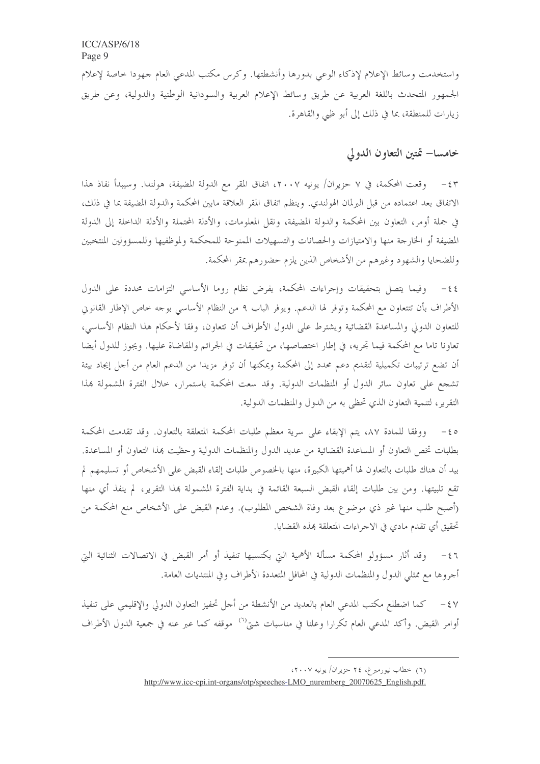واستخدمت وسائط الإعلام لإذكاء الوعي بدورها وأنشطتها. وكرس مكتب المدعى العام جهودا خاصة لإعلام الجمهور المتحدث باللغة العربية عن طريق وسائط الإعلام العربية والسودانية الوطنية والدولية، وعن طريق زيارات للمنطقة، بما في ذلك إلى أبو ظبي والقاهرة.

### خامسا– تمتين التعاون الدولي

٤٣ – وقعت المحكمة، في ٧ حزيران/ يونيه ٢٠٠٧، اتفاق المقر مع الدولة المضيفة، هولندا. وسيبدأ نفاذ هذا الاتفاق بعد اعتماده من قبل البرلمان الهولندي. وينظم اتفاق المقر العلاقة مابين المحكمة والدولة المضيفة بما في ذلك، في جملة أومر، التعاون بين المحكمة والدولة المضيفة، ونقل المعلومات، والأدلة المحتملة والأدلة الداخلة إلى الدولة المضيفة أو الخارجة منها والامتيازات والحصانات والتسهيلات الممنوحة للمحكمة ولموظفيها وللمسؤولين المنتخبين وللضحايا والشهود وغيرهم من الأشخاص الذين يلزم حضورهم بمقر المحكمة.

٤٤- وفيما يتصل بتحقيقات وإجراءات المحكمة، يفرض نظام روما الأساسي التزامات محددة على الدول الأطراف بأن تتتعاون مع المحكمة وتوفر لها الدعم. ويوفر الباب ٩ من النظام الأساسي بوحه خاص الإطار القانويي للتعاون الدولي والمساعدة القضائية ويشترط على الدول الأطراف أن تتعاون، وفقا لأحكام هذا النظام الأساسي، تعاونا تاما مع المحكمة فيما تجريه، في إطار اختصاصها، من تحقيقات في الجرائم والمقاضاة عليها. ويجوز للدول أيضا أن تضع ترتيبات تكميلية لتقديم دعم محدد إلى المحكمة ويمكنها أن توفر مزيدا من الدعم العام من أجل إيجاد بيئة تشجع على تعاون سائر الدول أو المنظمات الدولية. وقد سعت المحكمة باستمرار، حلال الفترة المشمولة بمذا التقرير ، لتنمية التعاون الذي تحظى به من الدول والمنظمات الدولية.

٤٥– ووفقا للمادة ٨٧، يتم الإبقاء على سرية معظم طلبات المحكمة المتعلقة بالتعاون. وقد تقدمت المحكمة بطلبات تخص التعاون أو المساعدة القضائية من عديد الدول والمنظمات الدولية وحظيت بمذا التعاون أو المساعدة. بيد أن هناك طلبات بالتعاون لها أهميتها الكبيرة، منها بالخصوص طلبات إلقاء القبض على الأشخاص أو تسليمهم لم تقع تلبيتها. ومن بين طلبات إلقاء القبض السبعة القائمة في بداية الفترة المشمولة بمذا التقرير، لم ينفذ أي منها (أصبح طلب منها غير ذي موضوع بعد وفاة الشخص المطلوب). وعدم القبض على الأشخاص منع المحكمة من تحقيق أي تقدم مادي في الاجراءات المتعلقة بمذه القضايا.

وقد أثارٍ مسؤولوٍ المحكمة مسألة الأهمية التي يكتسبها تنفيذ أو أمرٍ القبض في الاتصالات الثنائية التي  $-\xi$  ٦ أحروها مع ممثلي الدول والمنظمات الدولية في المحافل المتعددة الأطراف وفي المنتديات العامة.

٤٧ – كما اضطلع مكتب المدعى العام بالعديد من الأنشطة من أحل تحفيز التعاون الدولي والإقليمي على تنفيذ أوامر القبض. وأكد المدعى العام تكرارا وعلنا في مناسبات شتى<sup>(٦)</sup> موقفه كما عبر عنه في جمعية الدول الأطراف

<sup>(</sup>٦) خطاب نیورمبرغ، ٢٤ حزیران/ یونیه ٢٠٠٧،

http://www.icc-cpi.int-organs/otp/speeches-LMO\_nuremberg\_20070625\_English.pdf.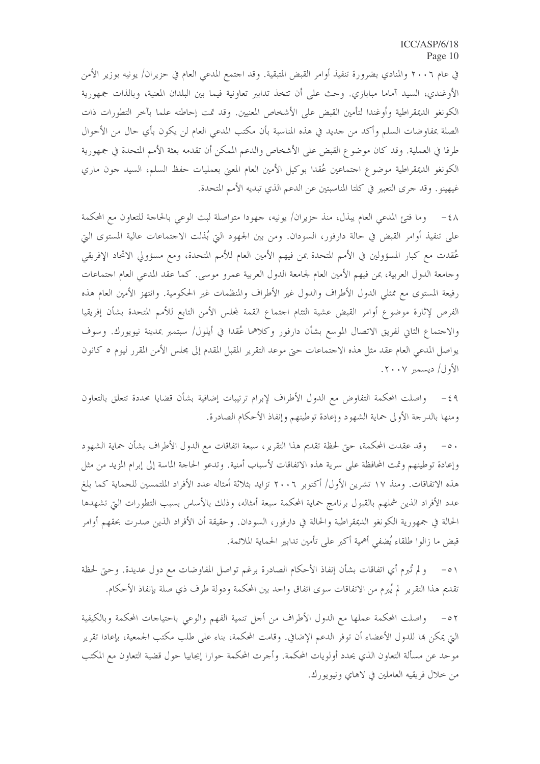في عام ٢٠٠٦ والمنادي بضرورة تنفيذ أوامر القبض المتبقية. وقد احتمع المدعى العام في حزيران/ يونيه بوزير الأمن الأوغندي، السيد آماما مبابازي. وحث على أن تتخذ تدابير تعاونية فيما بين البلدان المعنية، وبالذات جمهورية الكونغو الديمقراطية وأوغندا لتأمين القبض على الأشخاص المعنيين. وقد تمت إحاطته علما بآخر التطورات ذات الصلة بمفاوضات السلم وأكد من حديد في هذه المناسبة بأن مكتب المدعى العام لن يكون بأي حال من الأحوال طرفا في العملية. وقد كان موضوع القبض على الأشخاص والدعم الممكن أن تقدمه بعثة الأمم المتحدة في جمهورية الكونغو الديمقراطية موضوع اجتماعين عُقدا بوكيل الأمين العام المعنى بعمليات حفظ السلم، السيد حون ماري غيهينو. وقد حرى التعبير في كلتا المناسبتين عن الدعم الذي تبديه الأمم المتحدة.

٤٨ – وما فتئ المدعى العام يبذل، منذ حزيران/ يونيه، جهودا متواصلة لبث الوعي بالحاجة للتعاون مع المحكمة على تنفيذ أوامر القبض في حالة دارفور، السودان. ومن بين الجهود التي بُذلت الاجتماعات عالية المستوى التي عُقدت مع كبار المسؤولين في الأمم المتحدة بمن فيهم الأمين العام للأمم المتحدة، ومع مسؤولي الاتحاد الإفريقي وجامعة الدول العربية، بمن فيهم الأمين العام لجامعة الدول العربية عمرو موسى. كما عقد المدعى العام اجتماعات رفيعة المستوى مع ممثلي الدول الأطراف والدول غير الأطراف والمنظمات غير الحكومية. وانتهز الأمين العام هذه الفرص لإثارة موضوع أوامر القبض عشية التئام اجتماع القمة لمحلس الأمن التابع للأمم المتحدة بشأن إفريقيا والاجتماع الثاني لفريق الاتصال الموسع بشأن دارفور وكلاهما عُقدا في أيلول/ سبتمبر بمدينة نيويورك. وسوف يواصل المدعى العام عقد مثل هذه الاحتماعات حتى موعد التقرير المقبل المقدم إلى مجلس الأمن المقرر ليوم ٥ كانون الأول/ ديسمبر ٢٠٠٧.

٤٩ – واصلت المحكمة التفاوض مع الدول الأطراف لإبرام ترتيبات إضافية بشأن قضايا محددة تتعلق بالتعاون ومنها بالدرجة الأولى حماية الشهود وإعادة توطينهم وإنفاذ الأحكام الصادرة.

٥٠ – وقد عقدت المحكمة، حتى لحظة تقديم هذا التقرير، سبعة اتفاقات مع الدول الأطراف بشأن حماية الشهود وإعادة توطينهم وتمت المحافظة على سرية هذه الاتفاقات لأسباب أمنية. وتدعو الحاحة الماسة إلى إبرام المزيد من مثل هذه الاتفاقات. ومنذ ١٧ تشرين الأول/ أكتوبر ٢٠٠٦ تزايد بثلاثة أمثاله عدد الأفراد الملتمسين للحماية كما بلغ عدد الأفراد الذين شملهم بالقبول برنامج حماية المحكمة سبعة أمثاله، وذلك بالأساس بسبب التطورات التي تشهدها الحالة في جمهورية الكونغو الديمقراطية والحالة في دارفور، السودان. وحقيقة أن الأفراد الذين صدرت بحقهم أوامر قبض ما زالوا طلقاء يُضفى أهمية أكبر على تأمين تدابير الحماية الملائمة.

٥١ – ولم تُبرم أي اتفاقات بشأن إنفاذ الأحكام الصادرة برغم تواصل المفاوضات مع دول عديدة. وحتى لحظة تقديم هذا التقرير لم يُبرم من الاتفاقات سوى اتفاق واحد بين المحكمة ودولة طرف ذي صلة بإنفاذ الأحكام.

٥٢ – واصلت المحكمة عملها مع الدول الأطراف من أجل تنمية الفهم والوعى باحتياجات المحكمة وبالكيفية الَّتِي يمكن هِا للدول الأعضاء أن توفُّر الدعم الإضافي. وقامت المحكمة، بناء على طلب مكتب الجمعية، بإعادا تقرير موحد عن مسألة التعاون الذي يحدد أولويات المحكمة. وأجرت المحكمة حوارا إيجابيا حول قضية التعاون مع المكتب من خلال فريقيه العاملين في لاهاي ونيويورك.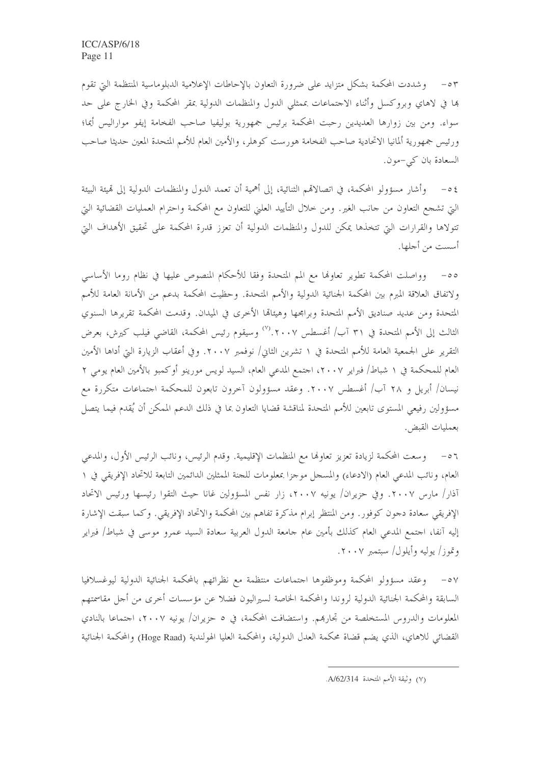٥٣ – وشددت المحكمة بشكل متزايد على ضرورة التعاون بالإحاطات الإعلامية الدبلوماسية المنتظمة التي تقوم ها في لاهاي وبروكسل وأثناء الاحتماعات بممثلي الدول والمنظمات الدولية بمقر المحكمة وفي الخارج على حد سواء. ومن بين زوارها العديدين رحبت المحكمة برئيس جمهورية بوليفيا صاحب الفخامة إيفو مواراليس أيما؛ ورئيس جمهورية ألمانيا الاتحادية صاحب الفخامة هورست كوهلر، والأمين العام للأمم المتحدة المعين حديثا صاحب السعادة بان كي-مون.

وأشار مسؤولو المحكمة، في اتصالاتمم الثنائية، إلى أهمية أن تعمد الدول والمنظمات الدولية إلى قميئة البيئة  $-\circ 5$ التي تشجع التعاون من جانب الغير. ومن خلال التأييد العليّ للتعاون مع المحكمة واحترام العمليات القضائية التيّ تتولاها والقرارات التي تتخذها يمكن للدول والمنظمات الدولية أن تعزز قدرة المحكمة على تحقيق الأهداف التي أسست من أجلها.

٥٥- وواصلت المحكمة تطوير تعاولها مع المم المتحدة وفقا للأحكام المنصوص عليها في نظام روما الأساسي ولاتفاق العلاقة المبرم بين المحكمة الجنائية الدولية والأمم المتحدة. وحظيت المحكمة بدعم من الأمانة العامة للأمم المتحدة ومن عديد صناديق الأمم المتحدة وبرامجها وهيئالها الأخرى في الميدان. وقدمت المحكمة تقريرها السنوي الثالث إلى الأمم المتحدة في ٣١ آب/ أغسطس ٢٠٠٧.'`` وسيقوم رئيس المحكمة، القاضي فيلب كيرش، بعرض التقرير على الجمعية العامة للأمم المتحدة في ١ تشرين الثاني/ نوفمبر ٢٠٠٧. وفي أعقاب الزيارة التي أداها الأمين العام للمحكمة في ١ شباط/ فبراير ٢٠٠٧، احتمع المدعى العام، السيد لويس مورينو أوكمبو بالأمين العام يومي ٢ نيسان/ أبريل و ٢٨ آب/ أغسطس ٢٠٠٧. وعقد مسؤولون آخرون تابعون للمحكمة اجتماعات متكررة مع مسؤولين رفيعي المستوى تابعين للأمم المتحدة لمناقشة قضايا التعاون بما في ذلك الدعم الممكن أن يُقدم فيما يتصل بعمليات القبض.

٥٦ – ووسعت المحكمة لزيادة تعزيز تعاولها مع المنظمات الإقليمية. وقدم الرئيس، ونائب الرئيس الأول، والمدعى العام، ونائب المدعى العام (الادعاء) والمسجل موجزًا بمعلومات للجنة الممثلين الدائمين التابعة للاتحاد الإفريقي في ١ آذار/ مارس ٢٠٠٧. وفي حزيران/ يونيه ٢٠٠٧، زار نفس المسؤولين غانا حيث التقوا رئيسها ورئيس الاتحاد الإفريقي سعادة دجون كوفور . ومن المنتظر إبرام مذكرة تفاهم بين المحكمة والاتحاد الإفريقي . وكما سبقت الإشارة إليه آنفا، اجتمع المدعى العام كذلك بأمين عام جامعة الدول العربية سعادة السيد عمروٍ موسى في شباط/ فبراير وتموز/ يوليه وأيلول/ سبتمبر ٢٠٠٧.

٥٧– وعقد مسؤولو المحكمة وموظفوها احتماعات منتظمة مع نظرائهم بالمحكمة الجنائية الدولية ليوغسلافيا السابقة والمحكمة الجنائية الدولية لروندا والمحكمة الخاصة لسيراليون فضلا عن مؤسسات أخرى من أحل مقاسمتهم المعلومات والدروس المستخلصة من تجارهم. واستضافت المحكمة، في ٥ حزيران/ يونيه ٢٠٠٧، احتماعا بالنادي القضائي للاهاي، الذي يضم قضاة محكمة العدل الدولية، والمحكمة العليا الهولندية (Hoge Raad) والمحكمة الجنائية

<sup>(</sup>٧) وثيقة الأمم المتحدة A/62/314.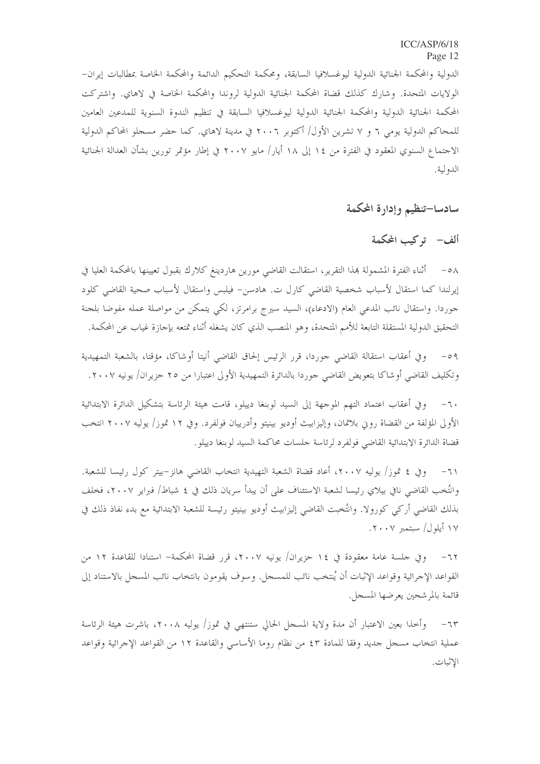الدولية والمحكمة الجنائية الدولية ليوغسلافيا السابقة، ومحكمة التحكيم الدائمة والمحكمة الخاصة بمطالبات إيران– الولايات المتحدة. وشارك كذلك قضاة المحكمة الجنائية الدولية لروندا والمحكمة الحاصة في لاهاي. واشتركت المحكمة الجنائية الدولية والمحكمة الجنائية الدولية ليوغسلافيا السابقة في تنظيم الندوة السنوية للمدعين العامين للمحاكم الدولية يومي ٦ و ٧ تشرين الأول/ أكتوبر ٢٠٠٦ في مدينة لاهاي. كما حضر مسجلو المحاكم الدولية الاجتماع السنوي المعقود في الفترة من ١٤ إلى ١٨ أيار/ مايو ٢٠٠٧ في إطار مؤتمر تورين بشأن العدالة الجنائية الدولية.

سادسا–تنظيم وإدارة المكمة

ألف– تركيب المحكمة

٥٨ – أثناء الفترة المشمولة بمذا التقرير، استقالت القاضي مورين هاردينغ كلارك بقبول تعيينها بالمحكمة العليا في إيرلندا كما استقال لأسباب شخصية القاضي كارل ت. هادسن- فيلبس واستقال لأسباب صحية القاضي كلود جوردا. واستقال نائب المدعى العام (الادعاء)، السيد سيرج برامرتز، لكي يتمكن من مواصلة عمله مفوضا بلجنة التحقيق الدولية المستقلة التابعة للأمم المتحدة، وهو المنصب الذي كان يشغله أثناء تمتعه بإجازة غياب عن المحكمة.

وفي أعقاب استقالة القاضي حوردا، قرر الرئيس إلحاق القاضي أنيتا أوشاكا، مؤقتا، بالشعبة التمهيدية  $-09$ وتكليف القاضي أوشاكا بتعويض القاضي جوردا بالدائرة التمهيدية الأولى اعتبارا من ٢٥ حزيران/ يونيه ٢٠٠٧.

وفي أعقاب اعتماد التهم الموجهة إلى السيد لوبنغا دييلو، قامت هيئة الرئاسة بتشكيل الدائرة الابتدائية  $-7.$ الأولى المؤلفة من القضاة روين بلاتمان، وإليزابيث أوديو بينيتو وأدرييان فولفرد. وفي ١٢ تموز/ يوليه ٢٠٠٧ انتخب قضاة الدائرة الابتدائية القاضى فولفرد لرئاسة حلسات محاكمة السيد لوبنغا دييلو .

وفي ٤ تموز/ يوليه ٢٠٠٧، أعاد قضاة الشعبة التهيدية انتخاب القاضي هانز–بيتر كول رئيسا للشعبة.  $-7)$ وانتُخب القاضي نافي بيلاي رئيسا لشعبة الاستئناف على أن يبدأ سريان ذلك في ٤ شباط/ فبراير ٢٠٠٧، فخلف بذلك القاضي أركي كورولا. وانتُخبت القاضي إليزابيث أوديو بينيتو رئيسة للشعبة الابتدائية مع بدء نفاذ ذلك في ۱۷ أيلول/ سبتمبر ۲۰۰۷.

وفي حلسة عامة معقودة في ١٤ حزيران/ يونيه ٢٠٠٧، قرر قضاة المحكمة– استنادا للقاعدة ١٢ من القواعد الإجرائية وقواعد الإثبات أن يُنتخب نائب للمسجل. وسوف يقومون بانتخاب نائب المسجل بالاستناد إلى قائمة بالمرشحين يعرضها المسجل.

وأخذا بعين الاعتبار أن مدة ولاية المسحل الحالي ستنتهي في تموز/ يوليه ٢٠٠٨، باشرت هيئة الرئاسة  $-71$ عملية انتخاب مسجل جديد وفقا للمادة ٤٣ من نظام روما الأساسي والقاعدة ١٢ من القواعد الإجرائية وقواعد الاثبات.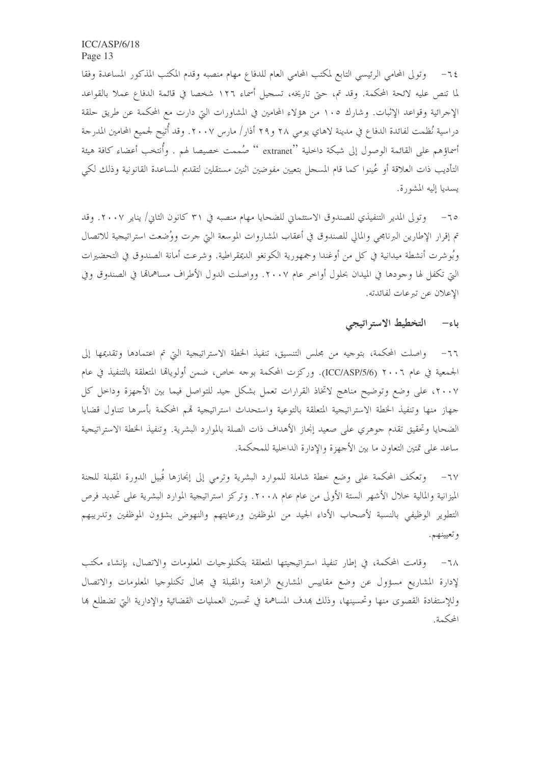٦٤– وتولى المحامي الرئيسي التابع لمكتب المحامي العام للدفاع مهام منصبه وقدم المكتب المذكور المساعدة وفقا لما تنص عليه لائحة المحكمة. وقد تم، حتى تاريخه، تسجيل أسماء ١٢٦ شخصا في قائمة الدفاع عملا بالقواعد الإجرائية وقواعد الإثبات. وشارك ١٠٥ من هؤلاء المحامين في المشاورات التي دارت مع المحكمة عن طريق حلقة دراسية نُظمت لفائدة الدفاع في مدينة لاهاي يومي ٢٨ و٢٩ أذار/ مارس ٢٠٠٧. وقد أُتيح لجميع المحامين المدرجة أسماؤهم على القائمة الوصول إلى شبكة داحلية ''extrane '' صُممت خصيصا لهم . وأُنتخب أعضاء كافة هيئة التأديب ذات العلاقة أو عُينوا كما قام المسجل بتعيين مفوضين اثنين مستقلين لتقديم المساعدة القانونية وذلك لكي يسديا إليه المشورة.

وتولى المدير التنفيذي للصندوق الاستئماني للضحايا مهام منصبه في ٣١ كانون الثاني/ يناير ٢٠٠٧. وقد  $-70$ تم إقرار الإطارين البرنامجي والمالي للصندوق في أعقاب المشاروات الموسعة التي جرت ووُضعت استراتيجية للاتصال وبُوشرت أنشطة ميدانية في كل من أوغندا وجمهورية الكونغو الديمقراطية. وشرعت أمانة الصندوق في التحضيرات التي تكفل لها وجودها في الميدان بحلول أواخر عام ٢٠٠٧. وواصلت الدول الأطراف مساهماهّا في الصندوق وفي الإعلان عن تيرعات لفائدته.

#### باء– التخطيط الاستراتيجي

٦٦– واصلت المحكمة، بتوجيه من مجلس التنسيق، تنفيذ الخطة الاستراتيجية التي تم اعتمادها وتقديمها إلى الجمعية في عام ٢٠٠٦ (ICC/ASP/5/6). وركزت المحكمة بوجه خاص، ضمن أولوياقما المتعلقة بالتنفيذ في عام ٢٠٠٧، على وضع وتوضيح مناهج لاتخاذ القرارات تعمل بشكل جيد للتواصل فيما بين الأجهزة وداحل كل جهاز منها وتنفيذ الخطة الاستراتيجية المتعلقة بالتوعية واستحداث استراتيجية قمم المحكمة بأسرها تتناول قضايا الضحايا وتحقيق تقدم حوهري على صعيد إنجاز الأهداف ذات الصلة بالموارد البشرية. وتنفيذ الخطة الاستراتيجية ساعد على تمتين التعاون ما بين الأجهزة والإدارة الداخلية للمحكمة.

٦٧− وتعكف المحكمة على وضع خطة شاملة للموارد البشرية وترمى إلى إنجازها قُبيل الدورة المقبلة للحنة الميزانية والمالية خلال الأشهر الستة الأولى من عام عام ٢٠٠٨. وتركز استراتيجية الموارد البشرية على تحديد فرص التطوير الوظيفي بالنسبة لأصحاب الأداء الجيد من الموظفين ورعايتهم والنهوض بشؤون الموظفين وتدريبهم و تعيينهم.

وقامت المحكمة، في إطار تنفيذ استراتيجيتها المتعلقة بتكنلوجيات المعلومات والاتصال، بإنشاء مكتب  $-7\lambda$ لإدارة المشاريع مسؤول عن وضع مقاييس المشاريع الراهنة والمقبلة في مجال تكنلوجيا المعلومات والاتصال وللإستفادة القصوى منها وتحسينها، وذلك بمدف المساهمة في تحسين العمليات القضائية والإدارية التي تضطلع بما المحكمة.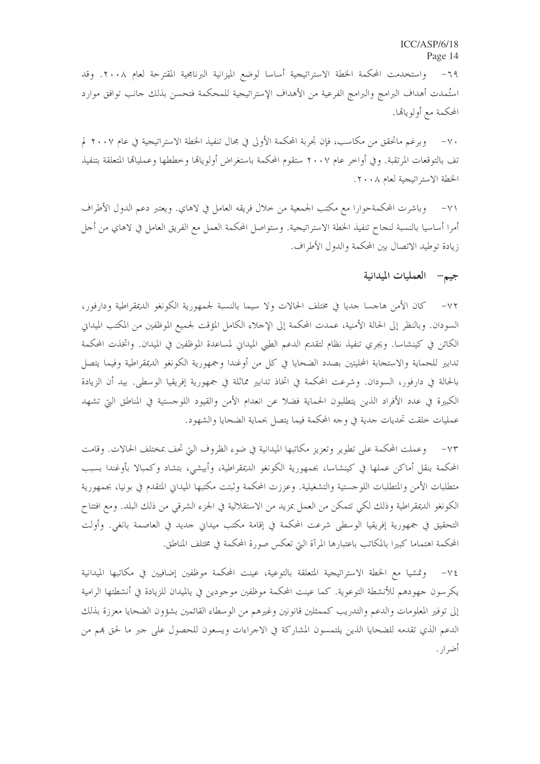واستخدمت المحكمة الخطة الاستراتيجية أساسا لوضع الميزانية البرنامجية المقترحة لعام ٢٠٠٨. وقد  $-79$ استُمدت أهداف البرامج والبرامج الفرعية من الأهداف الإستراتيجية للمحكمة فتحسن بذلك حانب توافق موارد المحكمة مع أولويالها.

٧٠– وبرغم ماتحقق من مكاسب، فإن تجربة المحكمة الأولى في مجال تنفيذ الخطة الاستراتيجية في عام ٢٠٠٧ لم تف بالتوقعات المرتقبة. وفي أواخر عام ٢٠٠٧ ستقوم المحكمة باستغراض أولوياقما وخططها وعملياقما المتعلقة بتنفيذ الخطة الاستراتيجية لعام ٢٠٠٨.

وباشرت المحكمةحوارا مع مكتب الجمعية من خلال فريقه العامل في لاهاي. ويعتبر دعم الدول الأطراف أمرا أساسيا بالنسبة لنجاح تنفيذ الخطة الاستراتيجية. وستواصل المحكمة العمل مع الفريق العامل في لاهاي من أجل زيادة توطيد الاتصال بين المحكمة والدول الأطراف.

#### جيم – العمليات الميدانية

٧٢– كان الأمن هاجسا جديا في مختلف الحالات ولا سيما بالنسبة لجمهورية الكونغو الديمقراطية ودارفور، السودان. وبالنظر إلى الحالة الأمنية، عمدت المحكمة إلى الإحلاء الكامل المؤقت لجميع الموظفين من المكتب الميدان الكائن في كينشاسا. ويجري تنفيذ نظام لتقديم الدعم الطبي الميداني لمساعدة الموظفين في الميدان. واتخذت المحكمة تدابير للحماية والاستجابة المحليتين بصدد الضحايا في كل من أوغندا وجمهورية الكونغو الديمقراطية وفيما يتصل بالحالة في دارفور، السودان. وشرعت المحكمة في اتخاذ تدابير مماثلة في جمهورية إفريقيا الوسطى. بيد أن الزيادة الكبيرة في عدد الأفراد الذين يتطلبون الحماية فضلا عن انعدام الأمن والقيود اللوجستية في المناطق التي تشهد عمليات خلقت تحديات حدية في وجه المحكمة فيما يتصل بحماية الضحايا والشهود.

٧٣– وعملت المحكمة على تطوير وتعزيز مكاتبها الميدانية في ضوء الظروف التي تحف بمختلف الحالات. وقامت المحكمة بنقل أماكن عملها في كينشاسا، بجمهورية الكونغو الديمقراطية، وأبيشي، بتشاد وكمبالا بأوغندا بسبب متطلبات الأمن والمتطلبات اللوجستية والتشغيلية. وعززت المحكمة وثبتت مكتبها الميداني المتقدم في بونيا، بجمهورية الكونغو الديمقراطية وذلك لكي تتمكن من العمل بمزيد من الاستقلالية في الجزء الشرقي من ذلك البلد. ومع افتتاح التحقيق في جمهورية إفريقيا الوسطى شرعت المحكمة في إقامة مكتب ميداني حديد في العاصمة بانغي. وأولت المحكمة اهتماما كبيرا بالمكاتب باعتبارها المرآة التي تعكس صورة المحكمة في مختلف المناطق.

٧٤– وتمشيا مع الخطة الاستراتيجية المتعلقة بالتوعية، عينت المحكمة موظفين إضافيين في مكاتبها الميدانية يكرسون جهودهم للأنشطة التوعوية. كما عينت المحكمة موظفين موجودين في يالميدان للزيادة في أنشطتها الرامية إلى توفير المعلومات والدعم والتدريب كممثلين قانونين وغيرهم من الوسطاء القائمين بشؤون الضحايا معززة بذلك الدعم الذي تقدمه للضحايا الذين يلتمسون المشاركة في الاجراءات ويسعون للحصول على جبر ما لحق هم من أضرار.